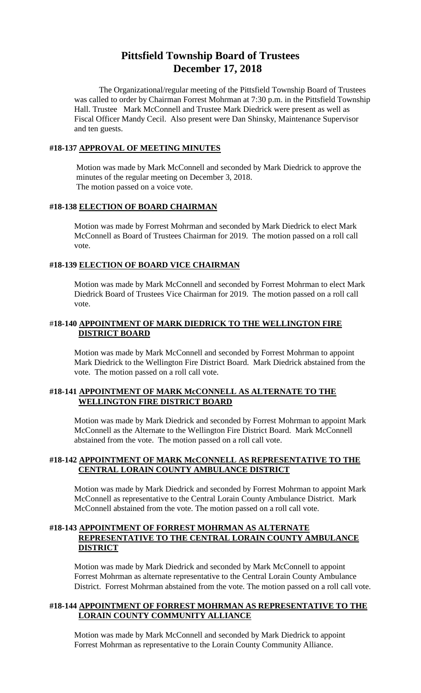# **Pittsfield Township Board of Trustees December 17, 2018**

The Organizational/regular meeting of the Pittsfield Township Board of Trustees was called to order by Chairman Forrest Mohrman at 7:30 p.m. in the Pittsfield Township Hall. Trustee Mark McConnell and Trustee Mark Diedrick were present as well as Fiscal Officer Mandy Cecil. Also present were Dan Shinsky, Maintenance Supervisor and ten guests.

#### **#18-137 APPROVAL OF MEETING MINUTES**

Motion was made by Mark McConnell and seconded by Mark Diedrick to approve the minutes of the regular meeting on December 3, 2018. The motion passed on a voice vote.

#### **#18-138 ELECTION OF BOARD CHAIRMAN**

Motion was made by Forrest Mohrman and seconded by Mark Diedrick to elect Mark McConnell as Board of Trustees Chairman for 2019. The motion passed on a roll call vote.

#### **#18-139 ELECTION OF BOARD VICE CHAIRMAN**

Motion was made by Mark McConnell and seconded by Forrest Mohrman to elect Mark Diedrick Board of Trustees Vice Chairman for 2019. The motion passed on a roll call vote.

## #**18-140 APPOINTMENT OF MARK DIEDRICK TO THE WELLINGTON FIRE DISTRICT BOARD**

Motion was made by Mark McConnell and seconded by Forrest Mohrman to appoint Mark Diedrick to the Wellington Fire District Board. Mark Diedrick abstained from the vote. The motion passed on a roll call vote.

## **#18-141 APPOINTMENT OF MARK McCONNELL AS ALTERNATE TO THE WELLINGTON FIRE DISTRICT BOARD**

Motion was made by Mark Diedrick and seconded by Forrest Mohrman to appoint Mark McConnell as the Alternate to the Wellington Fire District Board. Mark McConnell abstained from the vote. The motion passed on a roll call vote.

## **#18-142 APPOINTMENT OF MARK McCONNELL AS REPRESENTATIVE TO THE CENTRAL LORAIN COUNTY AMBULANCE DISTRICT**

Motion was made by Mark Diedrick and seconded by Forrest Mohrman to appoint Mark McConnell as representative to the Central Lorain County Ambulance District. Mark McConnell abstained from the vote. The motion passed on a roll call vote.

## **#18-143 APPOINTMENT OF FORREST MOHRMAN AS ALTERNATE REPRESENTATIVE TO THE CENTRAL LORAIN COUNTY AMBULANCE DISTRICT**

Motion was made by Mark Diedrick and seconded by Mark McConnell to appoint Forrest Mohrman as alternate representative to the Central Lorain County Ambulance District. Forrest Mohrman abstained from the vote. The motion passed on a roll call vote.

## **#18-144 APPOINTMENT OF FORREST MOHRMAN AS REPRESENTATIVE TO THE LORAIN COUNTY COMMUNITY ALLIANCE**

Motion was made by Mark McConnell and seconded by Mark Diedrick to appoint Forrest Mohrman as representative to the Lorain County Community Alliance.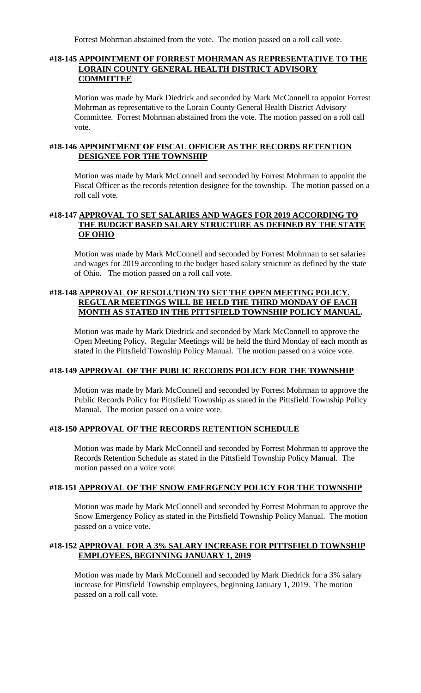Forrest Mohrman abstained from the vote. The motion passed on a roll call vote.

#### **#18-145 APPOINTMENT OF FORREST MOHRMAN AS REPRESENTATIVE TO THE LORAIN COUNTY GENERAL HEALTH DISTRICT ADVISORY COMMITTEE**

Motion was made by Mark Diedrick and seconded by Mark McConnell to appoint Forrest Mohrman as representative to the Lorain County General Health District Advisory Committee. Forrest Mohrman abstained from the vote. The motion passed on a roll call vote.

## **#18-146 APPOINTMENT OF FISCAL OFFICER AS THE RECORDS RETENTION DESIGNEE FOR THE TOWNSHIP**

Motion was made by Mark McConnell and seconded by Forrest Mohrman to appoint the Fiscal Officer as the records retention designee for the township. The motion passed on a roll call vote.

# **#18-147 APPROVAL TO SET SALARIES AND WAGES FOR 2019 ACCORDING TO THE BUDGET BASED SALARY STRUCTURE AS DEFINED BY THE STATE OF OHIO**

Motion was made by Mark McConnell and seconded by Forrest Mohrman to set salaries and wages for 2019 according to the budget based salary structure as defined by the state of Ohio. The motion passed on a roll call vote.

## **#18-148 APPROVAL OF RESOLUTION TO SET THE OPEN MEETING POLICY. REGULAR MEETINGS WILL BE HELD THE THIRD MONDAY OF EACH MONTH AS STATED IN THE PITTSFIELD TOWNSHIP POLICY MANUAL.**

Motion was made by Mark Diedrick and seconded by Mark McConnell to approve the Open Meeting Policy. Regular Meetings will be held the third Monday of each month as stated in the Pittsfield Township Policy Manual. The motion passed on a voice vote.

# **#18-149 APPROVAL OF THE PUBLIC RECORDS POLICY FOR THE TOWNSHIP**

Motion was made by Mark McConnell and seconded by Forrest Mohrman to approve the Public Records Policy for Pittsfield Township as stated in the Pittsfield Township Policy Manual. The motion passed on a voice vote.

#### **#18-150 APPROVAL OF THE RECORDS RETENTION SCHEDULE**

Motion was made by Mark McConnell and seconded by Forrest Mohrman to approve the Records Retention Schedule as stated in the Pittsfield Township Policy Manual. The motion passed on a voice vote.

#### **#18-151 APPROVAL OF THE SNOW EMERGENCY POLICY FOR THE TOWNSHIP**

Motion was made by Mark McConnell and seconded by Forrest Mohrman to approve the Snow Emergency Policy as stated in the Pittsfield Township Policy Manual. The motion passed on a voice vote.

## **#18-152 APPROVAL FOR A 3% SALARY INCREASE FOR PITTSFIELD TOWNSHIP EMPLOYEES, BEGINNING JANUARY 1, 2019**

Motion was made by Mark McConnell and seconded by Mark Diedrick for a 3% salary increase for Pittsfield Township employees, beginning January 1, 2019. The motion passed on a roll call vote.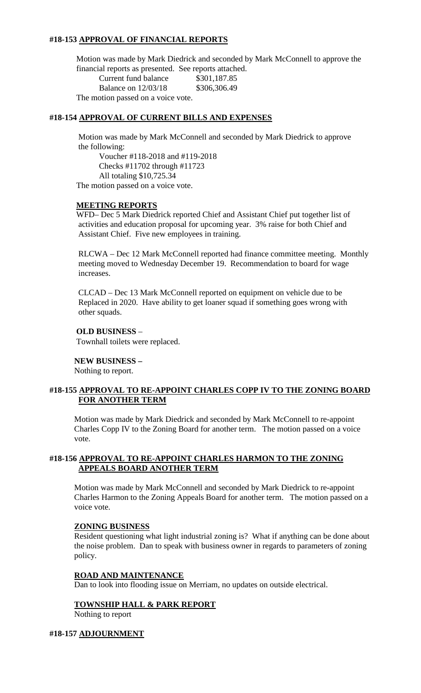## **#18-153 APPROVAL OF FINANCIAL REPORTS**

Motion was made by Mark Diedrick and seconded by Mark McConnell to approve the financial reports as presented. See reports attached.

Current fund balance \$301,187.85 Balance on 12/03/18 \$306,306.49 The motion passed on a voice vote.

## **#18-154 APPROVAL OF CURRENT BILLS AND EXPENSES**

Motion was made by Mark McConnell and seconded by Mark Diedrick to approve the following:

Voucher #118-2018 and #119-2018 Checks #11702 through #11723 All totaling \$10,725.34 The motion passed on a voice vote.

#### **MEETING REPORTS**

WFD– Dec 5 Mark Diedrick reported Chief and Assistant Chief put together list of activities and education proposal for upcoming year. 3% raise for both Chief and Assistant Chief. Five new employees in training.

RLCWA – Dec 12 Mark McConnell reported had finance committee meeting. Monthly meeting moved to Wednesday December 19. Recommendation to board for wage increases.

CLCAD – Dec 13 Mark McConnell reported on equipment on vehicle due to be Replaced in 2020. Have ability to get loaner squad if something goes wrong with other squads.

#### **OLD BUSINESS** –

Townhall toilets were replaced.

#### **NEW BUSINESS –**

Nothing to report.

#### **#18-155 APPROVAL TO RE-APPOINT CHARLES COPP IV TO THE ZONING BOARD FOR ANOTHER TERM**

Motion was made by Mark Diedrick and seconded by Mark McConnell to re-appoint Charles Copp IV to the Zoning Board for another term. The motion passed on a voice vote.

#### **#18-156 APPROVAL TO RE-APPOINT CHARLES HARMON TO THE ZONING APPEALS BOARD ANOTHER TERM**

Motion was made by Mark McConnell and seconded by Mark Diedrick to re-appoint Charles Harmon to the Zoning Appeals Board for another term. The motion passed on a voice vote.

#### **ZONING BUSINESS**

Resident questioning what light industrial zoning is? What if anything can be done about the noise problem. Dan to speak with business owner in regards to parameters of zoning policy.

#### **ROAD AND MAINTENANCE**

Dan to look into flooding issue on Merriam, no updates on outside electrical.

#### **TOWNSHIP HALL & PARK REPORT**

Nothing to report

#### **#18-157 ADJOURNMENT**